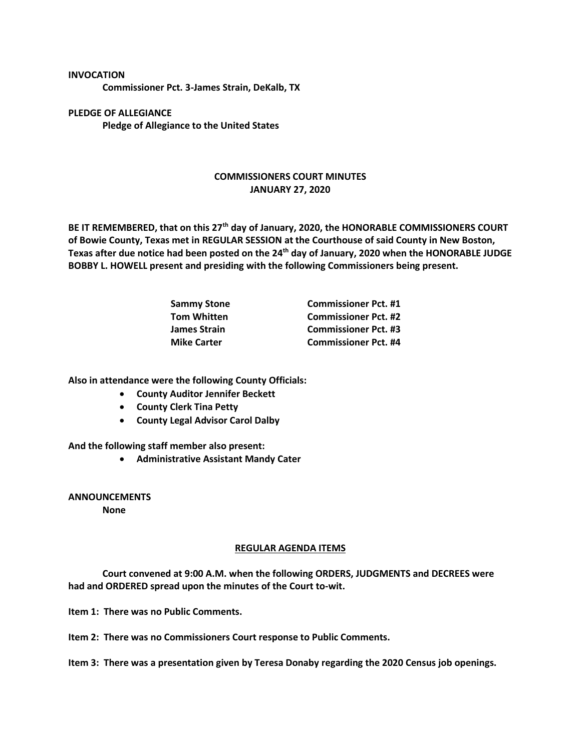**INVOCATION**

**Commissioner Pct. 3-James Strain, DeKalb, TX**

**PLEDGE OF ALLEGIANCE Pledge of Allegiance to the United States**

## **COMMISSIONERS COURT MINUTES JANUARY 27, 2020**

**BE IT REMEMBERED, that on this 27th day of January, 2020, the HONORABLE COMMISSIONERS COURT of Bowie County, Texas met in REGULAR SESSION at the Courthouse of said County in New Boston, Texas after due notice had been posted on the 24th day of January, 2020 when the HONORABLE JUDGE BOBBY L. HOWELL present and presiding with the following Commissioners being present.**

| <b>Sammy Stone</b>  | <b>Commissioner Pct. #1</b> |
|---------------------|-----------------------------|
| <b>Tom Whitten</b>  | <b>Commissioner Pct. #2</b> |
| <b>James Strain</b> | <b>Commissioner Pct. #3</b> |
| <b>Mike Carter</b>  | <b>Commissioner Pct. #4</b> |

**Also in attendance were the following County Officials:**

- **County Auditor Jennifer Beckett**
- **County Clerk Tina Petty**
- **County Legal Advisor Carol Dalby**

**And the following staff member also present:**

• **Administrative Assistant Mandy Cater**

**ANNOUNCEMENTS**

**None**

## **REGULAR AGENDA ITEMS**

**Court convened at 9:00 A.M. when the following ORDERS, JUDGMENTS and DECREES were had and ORDERED spread upon the minutes of the Court to-wit.**

**Item 1: There was no Public Comments.**

**Item 2: There was no Commissioners Court response to Public Comments.**

**Item 3: There was a presentation given by Teresa Donaby regarding the 2020 Census job openings.**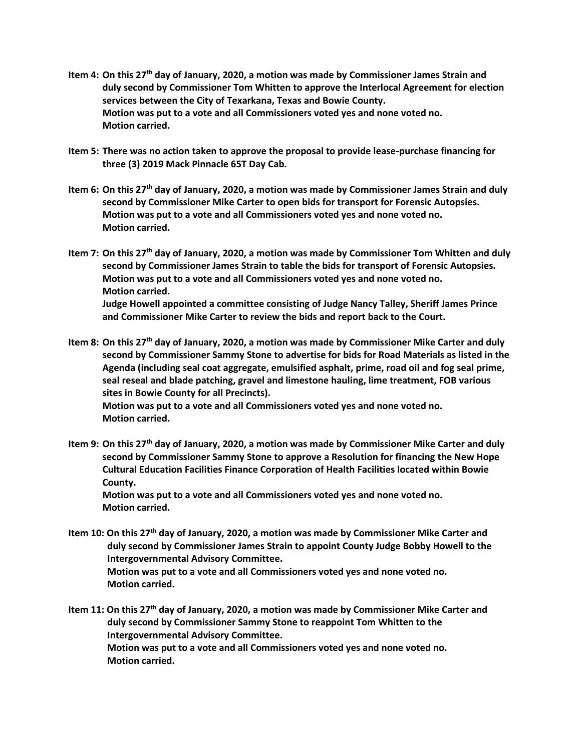- **Item 4: On this 27th day of January, 2020, a motion was made by Commissioner James Strain and duly second by Commissioner Tom Whitten to approve the Interlocal Agreement for election services between the City of Texarkana, Texas and Bowie County. Motion was put to a vote and all Commissioners voted yes and none voted no. Motion carried.**
- **Item 5: There was no action taken to approve the proposal to provide lease-purchase financing for three (3) 2019 Mack Pinnacle 65T Day Cab.**
- **Item 6: On this 27th day of January, 2020, a motion was made by Commissioner James Strain and duly second by Commissioner Mike Carter to open bids for transport for Forensic Autopsies. Motion was put to a vote and all Commissioners voted yes and none voted no. Motion carried.**
- **Item 7: On this 27th day of January, 2020, a motion was made by Commissioner Tom Whitten and duly second by Commissioner James Strain to table the bids for transport of Forensic Autopsies. Motion was put to a vote and all Commissioners voted yes and none voted no. Motion carried. Judge Howell appointed a committee consisting of Judge Nancy Talley, Sheriff James Prince and Commissioner Mike Carter to review the bids and report back to the Court.**
- **Item 8: On this 27th day of January, 2020, a motion was made by Commissioner Mike Carter and duly second by Commissioner Sammy Stone to advertise for bids for Road Materials as listed in the Agenda (including seal coat aggregate, emulsified asphalt, prime, road oil and fog seal prime, seal reseal and blade patching, gravel and limestone hauling, lime treatment, FOB various sites in Bowie County for all Precincts).**

**Motion was put to a vote and all Commissioners voted yes and none voted no. Motion carried.**

**Item 9: On this 27th day of January, 2020, a motion was made by Commissioner Mike Carter and duly second by Commissioner Sammy Stone to approve a Resolution for financing the New Hope Cultural Education Facilities Finance Corporation of Health Facilities located within Bowie County.**

**Motion was put to a vote and all Commissioners voted yes and none voted no. Motion carried.**

- **Item 10: On this 27th day of January, 2020, a motion was made by Commissioner Mike Carter and duly second by Commissioner James Strain to appoint County Judge Bobby Howell to the Intergovernmental Advisory Committee. Motion was put to a vote and all Commissioners voted yes and none voted no. Motion carried.**
- **Item 11: On this 27th day of January, 2020, a motion was made by Commissioner Mike Carter and duly second by Commissioner Sammy Stone to reappoint Tom Whitten to the Intergovernmental Advisory Committee. Motion was put to a vote and all Commissioners voted yes and none voted no. Motion carried.**